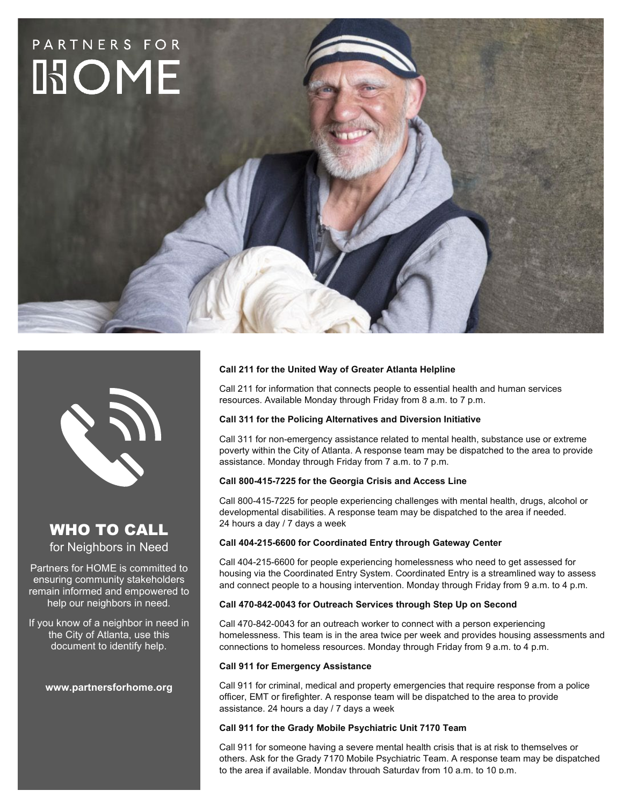



## WHO TO CALL for Neighbors in Need

Partners for HOME is committed to ensuring community stakeholders remain informed and empowered to help our neighbors in need.

If you know of a neighbor in need in the City of Atlanta, use this document to identify help.

**www.partnersforhome.org**

### **Call 211 for the United Way of Greater Atlanta Helpline**

Call 211 for information that connects people to essential health and human services resources. Available Monday through Friday from 8 a.m. to 7 p.m.

### **Call 311 for the Policing Alternatives and Diversion Initiative**

Call 311 for non-emergency assistance related to mental health, substance use or extreme poverty within the City of Atlanta. A response team may be dispatched to the area to provide assistance. Monday through Friday from 7 a.m. to 7 p.m.

#### **Call 800-415-7225 for the Georgia Crisis and Access Line**

Call 800-415-7225 for people experiencing challenges with mental health, drugs, alcohol or developmental disabilities. A response team may be dispatched to the area if needed. 24 hours a day / 7 days a week

#### **Call 404-215-6600 for Coordinated Entry through Gateway Center**

Call 404-215-6600 for people experiencing homelessness who need to get assessed for housing via the Coordinated Entry System. Coordinated Entry is a streamlined way to assess and connect people to a housing intervention. Monday through Friday from 9 a.m. to 4 p.m.

#### **Call 470-842-0043 for Outreach Services through Step Up on Second**

Call 470-842-0043 for an outreach worker to connect with a person experiencing homelessness. This team is in the area twice per week and provides housing assessments and connections to homeless resources. Monday through Friday from 9 a.m. to 4 p.m.

#### **Call 911 for Emergency Assistance**

Call 911 for criminal, medical and property emergencies that require response from a police officer, EMT or firefighter. A response team will be dispatched to the area to provide assistance. 24 hours a day / 7 days a week

#### **Call 911 for the Grady Mobile Psychiatric Unit 7170 Team**

Call 911 for someone having a severe mental health crisis that is at risk to themselves or others. Ask for the Grady 7170 Mobile Psychiatric Team. A response team may be dispatched to the area if available. Monday through Saturday from 10 a.m. to 10 p.m.